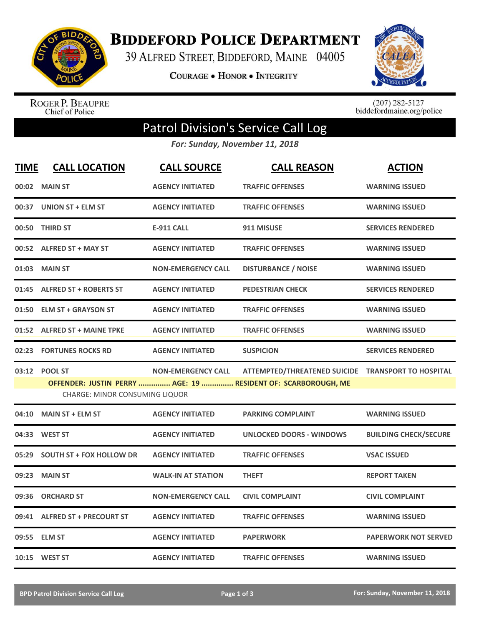

**BIDDEFORD POLICE DEPARTMENT** 

39 ALFRED STREET, BIDDEFORD, MAINE 04005

**COURAGE . HONOR . INTEGRITY** 



ROGER P. BEAUPRE<br>Chief of Police

 $(207)$  282-5127<br>biddefordmaine.org/police

## Patrol Division's Service Call Log

*For: Sunday, November 11, 2018*

| <b>TIME</b> | <b>CALL LOCATION</b>            | <b>CALL SOURCE</b>        | <b>CALL REASON</b>                                            | <b>ACTION</b>                |
|-------------|---------------------------------|---------------------------|---------------------------------------------------------------|------------------------------|
|             | 00:02 MAIN ST                   | <b>AGENCY INITIATED</b>   | <b>TRAFFIC OFFENSES</b>                                       | <b>WARNING ISSUED</b>        |
|             | 00:37 UNION ST + ELM ST         | <b>AGENCY INITIATED</b>   | <b>TRAFFIC OFFENSES</b>                                       | <b>WARNING ISSUED</b>        |
| 00:50       | <b>THIRD ST</b>                 | <b>E-911 CALL</b>         | 911 MISUSE                                                    | <b>SERVICES RENDERED</b>     |
|             | 00:52 ALFRED ST + MAY ST        | <b>AGENCY INITIATED</b>   | <b>TRAFFIC OFFENSES</b>                                       | <b>WARNING ISSUED</b>        |
|             | 01:03 MAIN ST                   | <b>NON-EMERGENCY CALL</b> | <b>DISTURBANCE / NOISE</b>                                    | <b>WARNING ISSUED</b>        |
|             | 01:45 ALFRED ST + ROBERTS ST    | <b>AGENCY INITIATED</b>   | <b>PEDESTRIAN CHECK</b>                                       | <b>SERVICES RENDERED</b>     |
|             | 01:50 ELM ST + GRAYSON ST       | <b>AGENCY INITIATED</b>   | <b>TRAFFIC OFFENSES</b>                                       | <b>WARNING ISSUED</b>        |
|             | 01:52 ALFRED ST + MAINE TPKE    | <b>AGENCY INITIATED</b>   | <b>TRAFFIC OFFENSES</b>                                       | <b>WARNING ISSUED</b>        |
|             | 02:23 FORTUNES ROCKS RD         | <b>AGENCY INITIATED</b>   | <b>SUSPICION</b>                                              | <b>SERVICES RENDERED</b>     |
|             | 03:12 POOL ST                   | <b>NON-EMERGENCY CALL</b> | ATTEMPTED/THREATENED SUICIDE TRANSPORT TO HOSPITAL            |                              |
|             | CHARGE: MINOR CONSUMING LIQUOR  |                           | OFFENDER: JUSTIN PERRY  AGE: 19  RESIDENT OF: SCARBOROUGH, ME |                              |
| 04:10       | <b>MAIN ST + ELM ST</b>         | <b>AGENCY INITIATED</b>   | <b>PARKING COMPLAINT</b>                                      | <b>WARNING ISSUED</b>        |
| 04:33       | <b>WEST ST</b>                  | <b>AGENCY INITIATED</b>   | <b>UNLOCKED DOORS - WINDOWS</b>                               | <b>BUILDING CHECK/SECURE</b> |
| 05:29       | <b>SOUTH ST + FOX HOLLOW DR</b> | <b>AGENCY INITIATED</b>   | <b>TRAFFIC OFFENSES</b>                                       | <b>VSAC ISSUED</b>           |
| 09:23       | <b>MAIN ST</b>                  | <b>WALK-IN AT STATION</b> | <b>THEFT</b>                                                  | <b>REPORT TAKEN</b>          |
| 09:36       | <b>ORCHARD ST</b>               | <b>NON-EMERGENCY CALL</b> | <b>CIVIL COMPLAINT</b>                                        | <b>CIVIL COMPLAINT</b>       |
|             | 09:41 ALFRED ST + PRECOURT ST   | <b>AGENCY INITIATED</b>   | <b>TRAFFIC OFFENSES</b>                                       | <b>WARNING ISSUED</b>        |
|             | 09:55 ELM ST                    | <b>AGENCY INITIATED</b>   | <b>PAPERWORK</b>                                              | <b>PAPERWORK NOT SERVED</b>  |
|             | 10:15 WEST ST                   | <b>AGENCY INITIATED</b>   | <b>TRAFFIC OFFENSES</b>                                       | <b>WARNING ISSUED</b>        |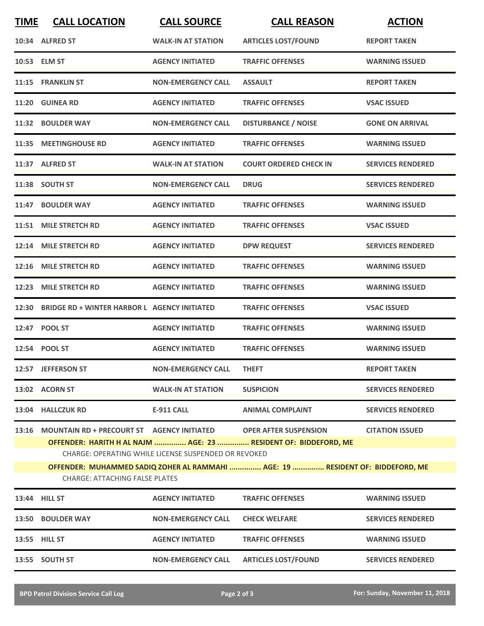| <b>TIME</b> | <b>CALL LOCATION</b>                                             | <b>CALL SOURCE</b>                                   | <b>CALL REASON</b>                                                                                                                                | <b>ACTION</b>            |
|-------------|------------------------------------------------------------------|------------------------------------------------------|---------------------------------------------------------------------------------------------------------------------------------------------------|--------------------------|
|             | 10:34 ALFRED ST                                                  | <b>WALK-IN AT STATION</b>                            | <b>ARTICLES LOST/FOUND</b>                                                                                                                        | <b>REPORT TAKEN</b>      |
|             | 10:53 ELM ST                                                     | <b>AGENCY INITIATED</b>                              | <b>TRAFFIC OFFENSES</b>                                                                                                                           | <b>WARNING ISSUED</b>    |
|             | 11:15 FRANKLIN ST                                                | <b>NON-EMERGENCY CALL</b>                            | <b>ASSAULT</b>                                                                                                                                    | <b>REPORT TAKEN</b>      |
|             | 11:20 GUINEA RD                                                  | <b>AGENCY INITIATED</b>                              | <b>TRAFFIC OFFENSES</b>                                                                                                                           | <b>VSAC ISSUED</b>       |
|             | 11:32 BOULDER WAY                                                | <b>NON-EMERGENCY CALL</b>                            | <b>DISTURBANCE / NOISE</b>                                                                                                                        | <b>GONE ON ARRIVAL</b>   |
|             | 11:35 MEETINGHOUSE RD                                            | <b>AGENCY INITIATED</b>                              | <b>TRAFFIC OFFENSES</b>                                                                                                                           | <b>WARNING ISSUED</b>    |
|             | 11:37 ALFRED ST                                                  | <b>WALK-IN AT STATION</b>                            | <b>COURT ORDERED CHECK IN</b>                                                                                                                     | <b>SERVICES RENDERED</b> |
|             | 11:38 SOUTH ST                                                   | <b>NON-EMERGENCY CALL</b>                            | <b>DRUG</b>                                                                                                                                       | <b>SERVICES RENDERED</b> |
|             | 11:47 BOULDER WAY                                                | <b>AGENCY INITIATED</b>                              | <b>TRAFFIC OFFENSES</b>                                                                                                                           | <b>WARNING ISSUED</b>    |
|             | 11:51 MILE STRETCH RD                                            | <b>AGENCY INITIATED</b>                              | <b>TRAFFIC OFFENSES</b>                                                                                                                           | <b>VSAC ISSUED</b>       |
|             | 12:14 MILE STRETCH RD                                            | <b>AGENCY INITIATED</b>                              | <b>DPW REQUEST</b>                                                                                                                                | <b>SERVICES RENDERED</b> |
|             | 12:16 MILE STRETCH RD                                            | <b>AGENCY INITIATED</b>                              | <b>TRAFFIC OFFENSES</b>                                                                                                                           | <b>WARNING ISSUED</b>    |
| 12:23       | <b>MILE STRETCH RD</b>                                           | <b>AGENCY INITIATED</b>                              | <b>TRAFFIC OFFENSES</b>                                                                                                                           | <b>WARNING ISSUED</b>    |
| 12:30       | BRIDGE RD + WINTER HARBOR L AGENCY INITIATED                     |                                                      | <b>TRAFFIC OFFENSES</b>                                                                                                                           | <b>VSAC ISSUED</b>       |
|             | 12:47 POOL ST                                                    | <b>AGENCY INITIATED</b>                              | <b>TRAFFIC OFFENSES</b>                                                                                                                           | <b>WARNING ISSUED</b>    |
|             | 12:54 POOL ST                                                    | <b>AGENCY INITIATED</b>                              | <b>TRAFFIC OFFENSES</b>                                                                                                                           | <b>WARNING ISSUED</b>    |
|             | 12:57 JEFFERSON ST                                               | <b>NON-EMERGENCY CALL</b>                            | <b>THEFT</b>                                                                                                                                      | <b>REPORT TAKEN</b>      |
|             | 13:02 ACORN ST                                                   | <b>WALK-IN AT STATION</b>                            | <b>SUSPICION</b>                                                                                                                                  | <b>SERVICES RENDERED</b> |
|             | 13:04 HALLCZUK RD                                                | <b>E-911 CALL</b>                                    | <b>ANIMAL COMPLAINT</b>                                                                                                                           | <b>SERVICES RENDERED</b> |
| 13:16       | MOUNTAIN RD + PRECOURT ST AGENCY INITIATED OPER AFTER SUSPENSION | CHARGE: OPERATING WHILE LICENSE SUSPENDED OR REVOKED | OFFENDER: HARITH H AL NAJM  AGE: 23  RESIDENT OF: BIDDEFORD, ME<br>OFFENDER: MUHAMMED SADIQ ZOHER AL RAMMAHI  AGE: 19  RESIDENT OF: BIDDEFORD, ME | <b>CITATION ISSUED</b>   |
|             | <b>CHARGE: ATTACHING FALSE PLATES</b>                            |                                                      |                                                                                                                                                   |                          |
|             | 13:44 HILL ST                                                    | <b>AGENCY INITIATED</b>                              | <b>TRAFFIC OFFENSES</b>                                                                                                                           | <b>WARNING ISSUED</b>    |
|             | 13:50 BOULDER WAY                                                | <b>NON-EMERGENCY CALL</b>                            | <b>CHECK WELFARE</b>                                                                                                                              | <b>SERVICES RENDERED</b> |
|             | 13:55 HILL ST                                                    | <b>AGENCY INITIATED</b>                              | <b>TRAFFIC OFFENSES</b>                                                                                                                           | <b>WARNING ISSUED</b>    |
|             | 13:55 SOUTH ST                                                   | <b>NON-EMERGENCY CALL</b>                            | <b>ARTICLES LOST/FOUND</b>                                                                                                                        | <b>SERVICES RENDERED</b> |